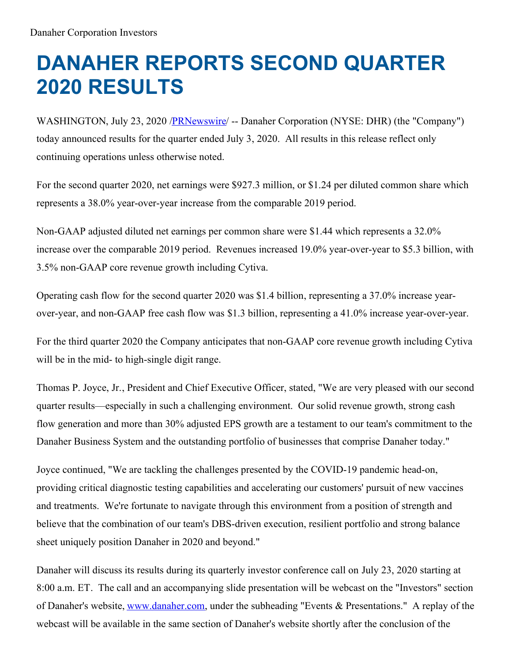# **DANAHER REPORTS SECOND QUARTER 2020 RESULTS**

WASHINGTON, July 23, 2020 [/PRNewswire](http://www.prnewswire.com/)/ -- Danaher Corporation (NYSE: DHR) (the "Company") today announced results for the quarter ended July 3, 2020. All results in this release reflect only continuing operations unless otherwise noted.

For the second quarter 2020, net earnings were \$927.3 million, or \$1.24 per diluted common share which represents a 38.0% year-over-year increase from the comparable 2019 period.

Non-GAAP adjusted diluted net earnings per common share were \$1.44 which represents a 32.0% increase over the comparable 2019 period. Revenues increased 19.0% year-over-year to \$5.3 billion, with 3.5% non-GAAP core revenue growth including Cytiva.

Operating cash flow for the second quarter 2020 was \$1.4 billion, representing a 37.0% increase yearover-year, and non-GAAP free cash flow was \$1.3 billion, representing a 41.0% increase year-over-year.

For the third quarter 2020 the Company anticipates that non-GAAP core revenue growth including Cytiva will be in the mid- to high-single digit range.

Thomas P. Joyce, Jr., President and Chief Executive Officer, stated, "We are very pleased with our second quarter results—especially in such a challenging environment. Our solid revenue growth, strong cash flow generation and more than 30% adjusted EPS growth are a testament to our team's commitment to the Danaher Business System and the outstanding portfolio of businesses that comprise Danaher today."

Joyce continued, "We are tackling the challenges presented by the COVID-19 pandemic head-on, providing critical diagnostic testing capabilities and accelerating our customers' pursuit of new vaccines and treatments. We're fortunate to navigate through this environment from a position of strength and believe that the combination of our team's DBS-driven execution, resilient portfolio and strong balance sheet uniquely position Danaher in 2020 and beyond."

Danaher will discuss its results during its quarterly investor conference call on July 23, 2020 starting at 8:00 a.m. ET. The call and an accompanying slide presentation will be webcast on the "Investors" section of Danaher's website, [www.danaher.com](http://www.danaher.com), under the subheading "Events & Presentations." A replay of the webcast will be available in the same section of Danaher's website shortly after the conclusion of the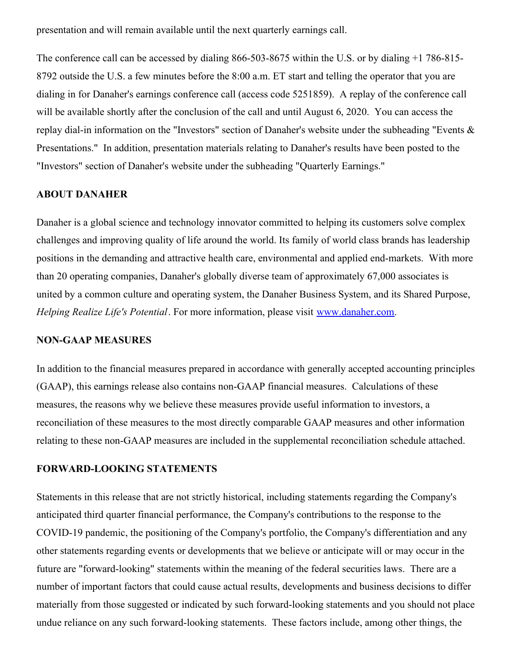presentation and will remain available until the next quarterly earnings call.

The conference call can be accessed by dialing 866-503-8675 within the U.S. or by dialing +1 786-815- 8792 outside the U.S. a few minutes before the 8:00 a.m. ET start and telling the operator that you are dialing in for Danaher's earnings conference call (access code 5251859). A replay of the conference call will be available shortly after the conclusion of the call and until August 6, 2020. You can access the replay dial-in information on the "Investors" section of Danaher's website under the subheading "Events & Presentations." In addition, presentation materials relating to Danaher's results have been posted to the "Investors" section of Danaher's website under the subheading "Quarterly Earnings."

#### **ABOUT DANAHER**

Danaher is a global science and technology innovator committed to helping its customers solve complex challenges and improving quality of life around the world. Its family of world class brands has leadership positions in the demanding and attractive health care, environmental and applied end-markets. With more than 20 operating companies, Danaher's globally diverse team of approximately 67,000 associates is united by a common culture and operating system, the Danaher Business System, and its Shared Purpose, *Helping Realize Life's Potential*. For more information, please visit [www.danaher.com](https://c212.net/c/link/?t=0&l=en&o=2865360-1&h=4027577113&u=http%3A%2F%2Fwww.danaher.com%2F&a=www.danaher.com).

#### **NON-GAAP MEASURES**

In addition to the financial measures prepared in accordance with generally accepted accounting principles (GAAP), this earnings release also contains non-GAAP financial measures. Calculations of these measures, the reasons why we believe these measures provide useful information to investors, a reconciliation of these measures to the most directly comparable GAAP measures and other information relating to these non-GAAP measures are included in the supplemental reconciliation schedule attached.

#### **FORWARD-LOOKING STATEMENTS**

Statements in this release that are not strictly historical, including statements regarding the Company's anticipated third quarter financial performance, the Company's contributions to the response to the COVID-19 pandemic, the positioning of the Company's portfolio, the Company's differentiation and any other statements regarding events or developments that we believe or anticipate will or may occur in the future are "forward-looking" statements within the meaning of the federal securities laws. There are a number of important factors that could cause actual results, developments and business decisions to differ materially from those suggested or indicated by such forward-looking statements and you should not place undue reliance on any such forward-looking statements. These factors include, among other things, the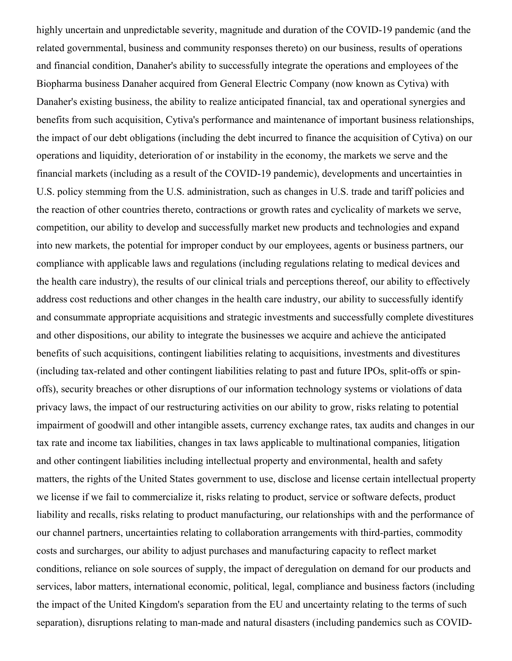highly uncertain and unpredictable severity, magnitude and duration of the COVID-19 pandemic (and the related governmental, business and community responses thereto) on our business, results of operations and financial condition, Danaher's ability to successfully integrate the operations and employees of the Biopharma business Danaher acquired from General Electric Company (now known as Cytiva) with Danaher's existing business, the ability to realize anticipated financial, tax and operational synergies and benefits from such acquisition, Cytiva's performance and maintenance of important business relationships, the impact of our debt obligations (including the debt incurred to finance the acquisition of Cytiva) on our operations and liquidity, deterioration of or instability in the economy, the markets we serve and the financial markets (including as a result of the COVID-19 pandemic), developments and uncertainties in U.S. policy stemming from the U.S. administration, such as changes in U.S. trade and tariff policies and the reaction of other countries thereto, contractions or growth rates and cyclicality of markets we serve, competition, our ability to develop and successfully market new products and technologies and expand into new markets, the potential for improper conduct by our employees, agents or business partners, our compliance with applicable laws and regulations (including regulations relating to medical devices and the health care industry), the results of our clinical trials and perceptions thereof, our ability to effectively address cost reductions and other changes in the health care industry, our ability to successfully identify and consummate appropriate acquisitions and strategic investments and successfully complete divestitures and other dispositions, our ability to integrate the businesses we acquire and achieve the anticipated benefits of such acquisitions, contingent liabilities relating to acquisitions, investments and divestitures (including tax-related and other contingent liabilities relating to past and future IPOs, split-offs or spinoffs), security breaches or other disruptions of our information technology systems or violations of data privacy laws, the impact of our restructuring activities on our ability to grow, risks relating to potential impairment of goodwill and other intangible assets, currency exchange rates, tax audits and changes in our tax rate and income tax liabilities, changes in tax laws applicable to multinational companies, litigation and other contingent liabilities including intellectual property and environmental, health and safety matters, the rights of the United States government to use, disclose and license certain intellectual property we license if we fail to commercialize it, risks relating to product, service or software defects, product liability and recalls, risks relating to product manufacturing, our relationships with and the performance of our channel partners, uncertainties relating to collaboration arrangements with third-parties, commodity costs and surcharges, our ability to adjust purchases and manufacturing capacity to reflect market conditions, reliance on sole sources of supply, the impact of deregulation on demand for our products and services, labor matters, international economic, political, legal, compliance and business factors (including the impact of the United Kingdom's separation from the EU and uncertainty relating to the terms of such separation), disruptions relating to man-made and natural disasters (including pandemics such as COVID-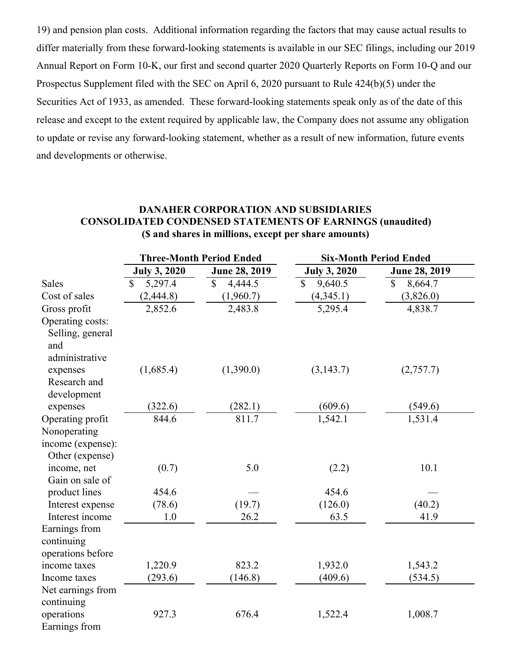19) and pension plan costs. Additional information regarding the factors that may cause actual results to differ materially from these forward-looking statements is available in our SEC filings, including our 2019 Annual Report on Form 10-K, our first and second quarter 2020 Quarterly Reports on Form 10-Q and our Prospectus Supplement filed with the SEC on April 6, 2020 pursuant to Rule 424(b)(5) under the Securities Act of 1933, as amended. These forward-looking statements speak only as of the date of this release and except to the extent required by applicable law, the Company does not assume any obligation to update or revise any forward-looking statement, whether as a result of new information, future events and developments or otherwise.

#### **DANAHER CORPORATION AND SUBSIDIARIES CONSOLIDATED CONDENSED STATEMENTS OF EARNINGS (unaudited) (\$ and shares in millions, except per share amounts)**

|                                                           |                     | <b>Three-Month Period Ended</b> | <b>Six-Month Period Ended</b> |                         |  |  |
|-----------------------------------------------------------|---------------------|---------------------------------|-------------------------------|-------------------------|--|--|
|                                                           | <b>July 3, 2020</b> | June 28, 2019                   | <b>July 3, 2020</b>           | June 28, 2019           |  |  |
| <b>Sales</b>                                              | 5,297.4<br>\$       | 4,444.5<br>$\mathbb{S}$         | $\mathbb{S}$<br>9,640.5       | $\mathbb{S}$<br>8,664.7 |  |  |
| Cost of sales                                             | (2, 444.8)          | (1,960.7)                       | (4,345.1)                     | (3,826.0)               |  |  |
| Gross profit                                              | 2,852.6             | 2,483.8                         | 5,295.4                       | 4,838.7                 |  |  |
| Operating costs:<br>Selling, general<br>and               |                     |                                 |                               |                         |  |  |
| administrative<br>expenses<br>Research and<br>development | (1,685.4)           | (1,390.0)                       | (3, 143.7)                    | (2,757.7)               |  |  |
| expenses                                                  | (322.6)             | (282.1)                         | (609.6)                       | (549.6)                 |  |  |
| Operating profit                                          | 844.6               | 811.7                           | 1,542.1                       | 1,531.4                 |  |  |
| Nonoperating<br>income (expense):<br>Other (expense)      |                     |                                 |                               |                         |  |  |
| income, net                                               | (0.7)               | 5.0                             | (2.2)                         | 10.1                    |  |  |
| Gain on sale of                                           |                     |                                 |                               |                         |  |  |
| product lines                                             | 454.6               |                                 | 454.6                         |                         |  |  |
| Interest expense                                          | (78.6)              | (19.7)                          | (126.0)                       | (40.2)                  |  |  |
| Interest income                                           | 1.0                 | 26.2                            | 63.5                          | 41.9                    |  |  |
| Earnings from<br>continuing<br>operations before          |                     |                                 |                               |                         |  |  |
| income taxes                                              | 1,220.9             | 823.2                           | 1,932.0                       | 1,543.2                 |  |  |
| Income taxes                                              | (293.6)             | (146.8)                         | (409.6)                       | (534.5)                 |  |  |
| Net earnings from<br>continuing                           |                     |                                 |                               |                         |  |  |
| operations<br>Earnings from                               | 927.3               | 676.4                           | 1,522.4                       | 1,008.7                 |  |  |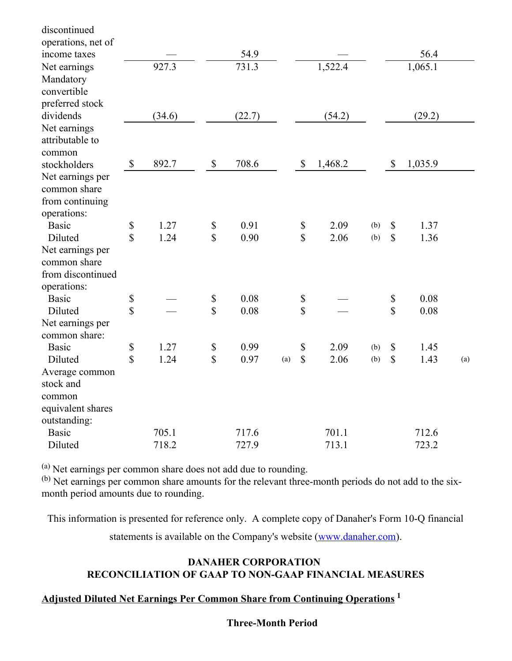| discontinued       |                                                                       |        |                           |        |     |                           |         |     |                           |         |     |
|--------------------|-----------------------------------------------------------------------|--------|---------------------------|--------|-----|---------------------------|---------|-----|---------------------------|---------|-----|
| operations, net of |                                                                       |        |                           |        |     |                           |         |     |                           |         |     |
| income taxes       |                                                                       |        |                           | 54.9   |     |                           |         |     |                           | 56.4    |     |
| Net earnings       |                                                                       | 927.3  |                           | 731.3  |     |                           | 1,522.4 |     |                           | 1,065.1 |     |
| Mandatory          |                                                                       |        |                           |        |     |                           |         |     |                           |         |     |
| convertible        |                                                                       |        |                           |        |     |                           |         |     |                           |         |     |
| preferred stock    |                                                                       |        |                           |        |     |                           |         |     |                           |         |     |
| dividends          |                                                                       | (34.6) |                           | (22.7) |     |                           | (54.2)  |     |                           | (29.2)  |     |
| Net earnings       |                                                                       |        |                           |        |     |                           |         |     |                           |         |     |
| attributable to    |                                                                       |        |                           |        |     |                           |         |     |                           |         |     |
| common             |                                                                       |        |                           |        |     |                           |         |     |                           |         |     |
| stockholders       | $\boldsymbol{\mathsf{S}}$                                             | 892.7  | $\boldsymbol{\mathsf{S}}$ | 708.6  |     | $\boldsymbol{\mathsf{S}}$ | 1,468.2 |     | $\boldsymbol{\mathsf{S}}$ | 1,035.9 |     |
| Net earnings per   |                                                                       |        |                           |        |     |                           |         |     |                           |         |     |
| common share       |                                                                       |        |                           |        |     |                           |         |     |                           |         |     |
| from continuing    |                                                                       |        |                           |        |     |                           |         |     |                           |         |     |
| operations:        |                                                                       |        |                           |        |     |                           |         |     |                           |         |     |
| <b>Basic</b>       | $\mathbb{S}% _{t}\left( t\right) \equiv\mathbb{S}_{t}\left( t\right)$ | 1.27   | $\boldsymbol{\mathbb{S}}$ | 0.91   |     | \$                        | 2.09    | (b) | $\mathcal{S}$             | 1.37    |     |
| Diluted            | \$                                                                    | 1.24   | $\mathsf{\$}$             | 0.90   |     | $\sqrt{\frac{2}{\pi}}$    | 2.06    | (b) | $\mathcal{S}$             | 1.36    |     |
| Net earnings per   |                                                                       |        |                           |        |     |                           |         |     |                           |         |     |
| common share       |                                                                       |        |                           |        |     |                           |         |     |                           |         |     |
| from discontinued  |                                                                       |        |                           |        |     |                           |         |     |                           |         |     |
| operations:        |                                                                       |        |                           |        |     |                           |         |     |                           |         |     |
| <b>Basic</b>       | \$                                                                    |        | $\boldsymbol{\mathbb{S}}$ | 0.08   |     | $\boldsymbol{\mathbb{S}}$ |         |     | $\boldsymbol{\mathsf{S}}$ | 0.08    |     |
| Diluted            | \$                                                                    |        | $\sqrt{\frac{2}{\pi}}$    | 0.08   |     | \$                        |         |     | $\sqrt{\frac{2}{\pi}}$    | 0.08    |     |
| Net earnings per   |                                                                       |        |                           |        |     |                           |         |     |                           |         |     |
| common share:      |                                                                       |        |                           |        |     |                           |         |     |                           |         |     |
| <b>Basic</b>       | \$                                                                    | 1.27   | $\mathbb S$               | 0.99   |     | \$                        | 2.09    | (b) | $\mathbb{S}$              | 1.45    |     |
| Diluted            | $\overline{\mathbb{S}}$                                               | 1.24   | $\mathbb{S}$              | 0.97   | (a) | $\mathbb{S}$              | 2.06    | (b) | $\mathbb{S}$              | 1.43    | (a) |
| Average common     |                                                                       |        |                           |        |     |                           |         |     |                           |         |     |
| stock and          |                                                                       |        |                           |        |     |                           |         |     |                           |         |     |
| common             |                                                                       |        |                           |        |     |                           |         |     |                           |         |     |
| equivalent shares  |                                                                       |        |                           |        |     |                           |         |     |                           |         |     |
| outstanding:       |                                                                       |        |                           |        |     |                           |         |     |                           |         |     |
| <b>Basic</b>       |                                                                       | 705.1  |                           | 717.6  |     |                           | 701.1   |     |                           | 712.6   |     |
| Diluted            |                                                                       | 718.2  |                           | 727.9  |     |                           | 713.1   |     |                           | 723.2   |     |

 $(a)$  Net earnings per common share does not add due to rounding.

(b) Net earnings per common share amounts for the relevant three-month periods do not add to the sixmonth period amounts due to rounding.

This information is presented for reference only. A complete copy of Danaher's Form 10-Q financial

statements is available on the Company's website [\(www.danaher.com](https://c212.net/c/link/?t=0&l=en&o=2865360-1&h=4027577113&u=http%3A%2F%2Fwww.danaher.com%2F&a=www.danaher.com)).

## **DANAHER CORPORATION RECONCILIATION OF GAAP TO NON-GAAP FINANCIAL MEASURES**

# **Adjusted Diluted Net Earnings Per Common Share from Continuing Operations 1**

#### **Three-Month Period**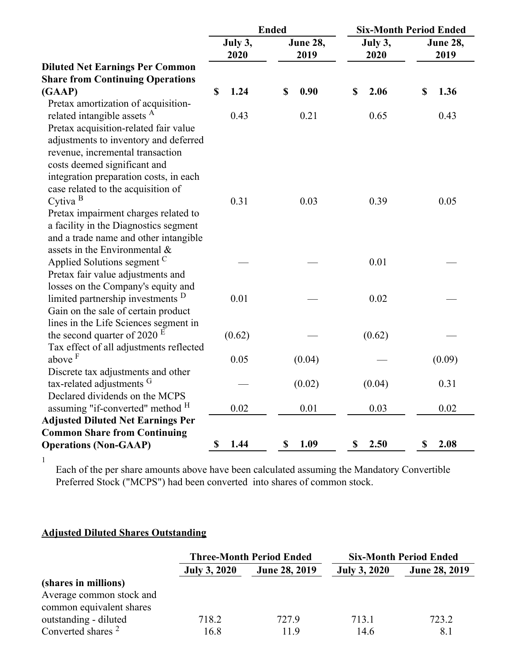|                                              | <b>Ended</b>    |                  |                 | <b>Six-Month Period Ended</b> |
|----------------------------------------------|-----------------|------------------|-----------------|-------------------------------|
|                                              | July 3,<br>2020 | June 28,<br>2019 | July 3,<br>2020 | June 28,<br>2019              |
| <b>Diluted Net Earnings Per Common</b>       |                 |                  |                 |                               |
| <b>Share from Continuing Operations</b>      |                 |                  |                 |                               |
| (GAAP)                                       | \$<br>1.24      | 0.90<br>\$       | 2.06<br>\$      | 1.36<br>\$                    |
| Pretax amortization of acquisition-          |                 |                  |                 |                               |
| related intangible assets <sup>A</sup>       | 0.43            | 0.21             | 0.65            | 0.43                          |
| Pretax acquisition-related fair value        |                 |                  |                 |                               |
| adjustments to inventory and deferred        |                 |                  |                 |                               |
| revenue, incremental transaction             |                 |                  |                 |                               |
| costs deemed significant and                 |                 |                  |                 |                               |
| integration preparation costs, in each       |                 |                  |                 |                               |
| case related to the acquisition of           |                 |                  |                 |                               |
| Cytiva $B$                                   | 0.31            | 0.03             | 0.39            | 0.05                          |
| Pretax impairment charges related to         |                 |                  |                 |                               |
| a facility in the Diagnostics segment        |                 |                  |                 |                               |
| and a trade name and other intangible        |                 |                  |                 |                               |
| assets in the Environmental $\&$             |                 |                  |                 |                               |
| Applied Solutions segment C                  |                 |                  | 0.01            |                               |
| Pretax fair value adjustments and            |                 |                  |                 |                               |
| losses on the Company's equity and           |                 |                  |                 |                               |
| limited partnership investments <sup>D</sup> | 0.01            |                  | 0.02            |                               |
| Gain on the sale of certain product          |                 |                  |                 |                               |
| lines in the Life Sciences segment in        |                 |                  |                 |                               |
| the second quarter of 2020 $E$               | (0.62)          |                  | (0.62)          |                               |
| Tax effect of all adjustments reflected      |                 |                  |                 |                               |
| above <sup>F</sup>                           | 0.05            | (0.04)           |                 | (0.09)                        |
| Discrete tax adjustments and other           |                 |                  |                 |                               |
| tax-related adjustments G                    |                 | (0.02)           | (0.04)          | 0.31                          |
| Declared dividends on the MCPS               |                 |                  |                 |                               |
| assuming "if-converted" method <sup>H</sup>  | 0.02            | 0.01             | 0.03            | 0.02                          |
| <b>Adjusted Diluted Net Earnings Per</b>     |                 |                  |                 |                               |
| <b>Common Share from Continuing</b>          |                 |                  |                 |                               |
| <b>Operations (Non-GAAP)</b>                 | \$<br>1.44      | 1.09<br>\$       | 2.50<br>\$      | 2.08<br>\$                    |
|                                              |                 |                  |                 |                               |

Each of the per share amounts above have been calculated assuming the Mandatory Convertible Preferred Stock ("MCPS") had been converted into shares of common stock.

# **Adjusted Diluted Shares Outstanding**

|                               |                     | <b>Three-Month Period Ended</b> | <b>Six-Month Period Ended</b> |                      |  |
|-------------------------------|---------------------|---------------------------------|-------------------------------|----------------------|--|
|                               | <b>July 3, 2020</b> | <b>June 28, 2019</b>            | <b>July 3, 2020</b>           | <b>June 28, 2019</b> |  |
| (shares in millions)          |                     |                                 |                               |                      |  |
| Average common stock and      |                     |                                 |                               |                      |  |
| common equivalent shares      |                     |                                 |                               |                      |  |
| outstanding - diluted         | 718.2               | 727.9                           | 713.1                         | 723.2                |  |
| Converted shares <sup>2</sup> | 16.8                | 11.9                            | 14.6                          | 8.1                  |  |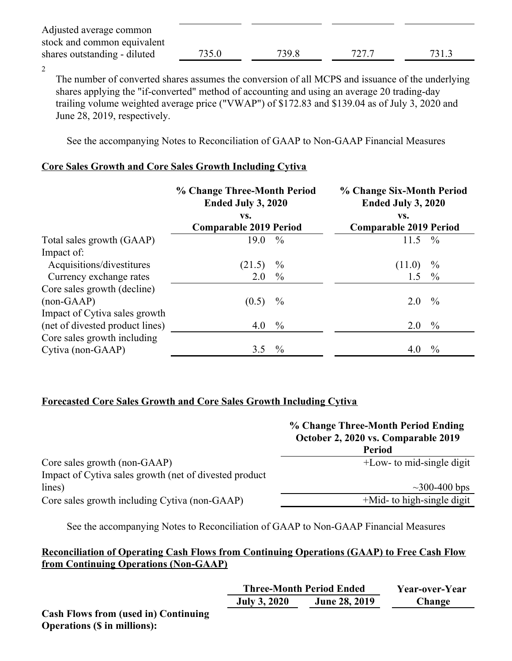| Adjusted average common      |       |       |       |       |
|------------------------------|-------|-------|-------|-------|
| stock and common equivalent  |       |       |       |       |
| shares outstanding - diluted | 735.0 | 739.8 | 727.7 | 731.3 |

2

The number of converted shares assumes the conversion of all MCPS and issuance of the underlying shares applying the "if-converted" method of accounting and using an average 20 trading-day trailing volume weighted average price ("VWAP") of \$172.83 and \$139.04 as of July 3, 2020 and June 28, 2019, respectively.

See the accompanying Notes to Reconciliation of GAAP to Non-GAAP Financial Measures

## **Core Sales Growth and Core Sales Growth Including Cytiva**

|                                 | % Change Three-Month Period<br>Ended July 3, 2020 |               | % Change Six-Month Period<br>Ended July 3, 2020 |               |
|---------------------------------|---------------------------------------------------|---------------|-------------------------------------------------|---------------|
|                                 | VS.                                               |               | VS.                                             |               |
|                                 | <b>Comparable 2019 Period</b>                     |               | <b>Comparable 2019 Period</b>                   |               |
| Total sales growth (GAAP)       | 19.0                                              | $\frac{0}{0}$ | 11.5                                            | $\frac{0}{0}$ |
| Impact of:                      |                                                   |               |                                                 |               |
| Acquisitions/divestitures       | (21.5)                                            | $\frac{0}{0}$ | (11.0)                                          | $\frac{0}{0}$ |
| Currency exchange rates         | 2.0                                               | $\%$          | 1.5                                             | $\frac{0}{0}$ |
| Core sales growth (decline)     |                                                   |               |                                                 |               |
| $(non-GAAP)$                    | (0.5)                                             | $\frac{0}{0}$ | 2.0                                             | $\frac{0}{0}$ |
| Impact of Cytiva sales growth   |                                                   |               |                                                 |               |
| (net of divested product lines) | 4.0                                               | $\%$          | 2.0                                             | $\frac{0}{0}$ |
| Core sales growth including     |                                                   |               |                                                 |               |
| Cytiva (non-GAAP)               | 3.5                                               | $\frac{0}{0}$ | 4.0                                             | $\frac{0}{0}$ |

# **Forecasted Core Sales Growth and Core Sales Growth Including Cytiva**

|                                                         | % Change Three-Month Period Ending<br>October 2, 2020 vs. Comparable 2019 |
|---------------------------------------------------------|---------------------------------------------------------------------------|
|                                                         | <b>Period</b>                                                             |
| Core sales growth (non-GAAP)                            | $+$ Low- to mid-single digit                                              |
| Impact of Cytiva sales growth (net of divested product) |                                                                           |
| lines)                                                  | $\sim$ 300-400 bps                                                        |
| Core sales growth including Cytiva (non-GAAP)           | $+$ Mid- to high-single digit                                             |

See the accompanying Notes to Reconciliation of GAAP to Non-GAAP Financial Measures

# **Reconciliation of Operating Cash Flows from Continuing Operations (GAAP) to Free Cash Flow from Continuing Operations (Non-GAAP)**

|                                             |                     | <b>Three-Month Period Ended</b> | Year-over-Year |  |  |
|---------------------------------------------|---------------------|---------------------------------|----------------|--|--|
|                                             | <b>July 3, 2020</b> | <b>June 28, 2019</b>            | Change         |  |  |
| <b>Cash Flows from (used in) Continuing</b> |                     |                                 |                |  |  |

**Operations (\$ in millions):**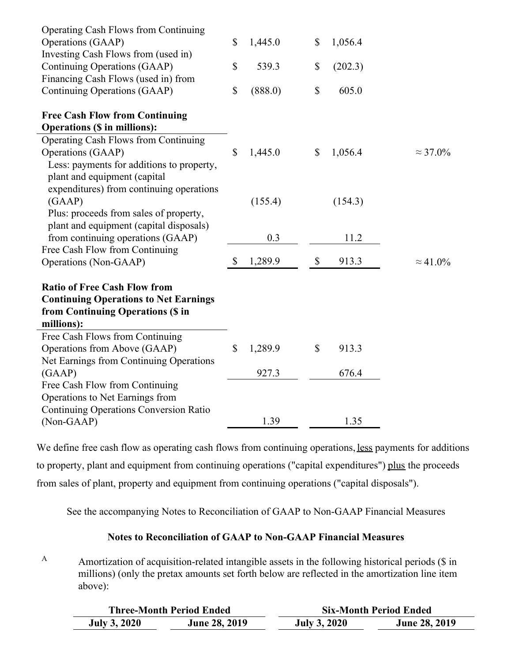| <b>Operating Cash Flows from Continuing</b>   |              |         |                           |         |                  |
|-----------------------------------------------|--------------|---------|---------------------------|---------|------------------|
| Operations (GAAP)                             | $\mathbb{S}$ | 1,445.0 | \$                        | 1,056.4 |                  |
| Investing Cash Flows from (used in)           |              |         |                           |         |                  |
| Continuing Operations (GAAP)                  | $\mathbb{S}$ | 539.3   | \$                        | (202.3) |                  |
| Financing Cash Flows (used in) from           |              |         |                           |         |                  |
| Continuing Operations (GAAP)                  | $\mathbb{S}$ | (888.0) | $\boldsymbol{\mathsf{S}}$ | 605.0   |                  |
| <b>Free Cash Flow from Continuing</b>         |              |         |                           |         |                  |
| <b>Operations (\$ in millions):</b>           |              |         |                           |         |                  |
| Operating Cash Flows from Continuing          |              |         |                           |         |                  |
| Operations (GAAP)                             | $\mathbb{S}$ | 1,445.0 | \$                        | 1,056.4 | $\approx$ 37.0%  |
| Less: payments for additions to property,     |              |         |                           |         |                  |
| plant and equipment (capital                  |              |         |                           |         |                  |
| expenditures) from continuing operations      |              |         |                           |         |                  |
| (GAAP)                                        |              | (155.4) |                           | (154.3) |                  |
| Plus: proceeds from sales of property,        |              |         |                           |         |                  |
| plant and equipment (capital disposals)       |              |         |                           |         |                  |
| from continuing operations (GAAP)             |              | 0.3     |                           | 11.2    |                  |
| Free Cash Flow from Continuing                |              |         |                           |         |                  |
| Operations (Non-GAAP)                         | \$           | 1,289.9 | \$                        | 913.3   | $\approx 41.0\%$ |
| <b>Ratio of Free Cash Flow from</b>           |              |         |                           |         |                  |
| <b>Continuing Operations to Net Earnings</b>  |              |         |                           |         |                  |
| from Continuing Operations (\$ in             |              |         |                           |         |                  |
| millions):                                    |              |         |                           |         |                  |
| Free Cash Flows from Continuing               |              |         |                           |         |                  |
| Operations from Above (GAAP)                  | \$           | 1,289.9 | \$                        | 913.3   |                  |
| Net Earnings from Continuing Operations       |              |         |                           |         |                  |
| (GAAP)                                        |              | 927.3   |                           | 676.4   |                  |
| Free Cash Flow from Continuing                |              |         |                           |         |                  |
| Operations to Net Earnings from               |              |         |                           |         |                  |
| <b>Continuing Operations Conversion Ratio</b> |              |         |                           |         |                  |
| (Non-GAAP)                                    |              | 1.39    |                           | 1.35    |                  |

We define free cash flow as operating cash flows from continuing operations, less payments for additions to property, plant and equipment from continuing operations ("capital expenditures") plus the proceeds from sales of plant, property and equipment from continuing operations ("capital disposals").

See the accompanying Notes to Reconciliation of GAAP to Non-GAAP Financial Measures

# **Notes to Reconciliation of GAAP to Non-GAAP Financial Measures**

Amortization of acquisition-related intangible assets in the following historical periods (\$ in millions) (only the pretax amounts set forth below are reflected in the amortization line item above): A

|                     | <b>Three-Month Period Ended</b> | <b>Six-Month Period Ended</b> |                      |  |  |  |
|---------------------|---------------------------------|-------------------------------|----------------------|--|--|--|
| <b>July 3, 2020</b> | <b>June 28, 2019</b>            | <b>July 3, 2020</b>           | <b>June 28, 2019</b> |  |  |  |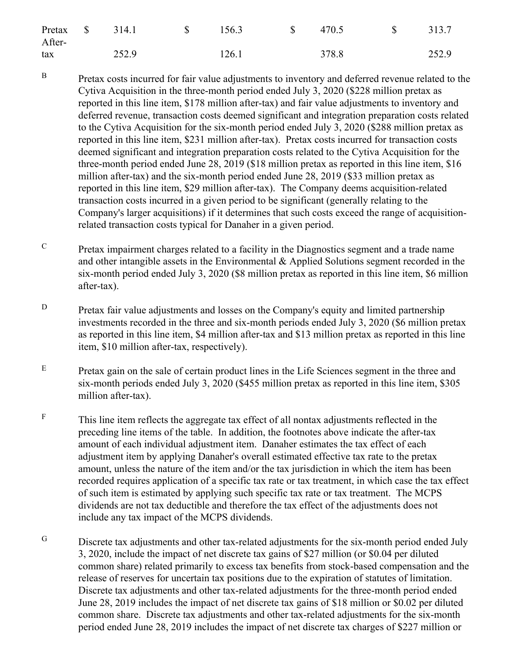| Pretax \$<br>After- | 314.1<br>$\mathbb{S}$ | 156.3 | $\mathbb{S}$ | 470.5 | $\mathbb{S}$ | 313.7 |
|---------------------|-----------------------|-------|--------------|-------|--------------|-------|
| tax                 | 252.9                 | 126.1 |              | 378.8 |              | 252.9 |

- Pretax costs incurred for fair value adjustments to inventory and deferred revenue related to the Cytiva Acquisition in the three-month period ended July 3, 2020 (\$228 million pretax as reported in this line item, \$178 million after-tax) and fair value adjustments to inventory and deferred revenue, transaction costs deemed significant and integration preparation costs related to the Cytiva Acquisition for the six-month period ended July 3, 2020 (\$288 million pretax as reported in this line item, \$231 million after-tax). Pretax costs incurred for transaction costs deemed significant and integration preparation costs related to the Cytiva Acquisition for the three-month period ended June 28, 2019 (\$18 million pretax as reported in this line item, \$16 million after-tax) and the six-month period ended June 28, 2019 (\$33 million pretax as reported in this line item, \$29 million after-tax). The Company deems acquisition-related transaction costs incurred in a given period to be significant (generally relating to the Company's larger acquisitions) if it determines that such costs exceed the range of acquisitionrelated transaction costs typical for Danaher in a given period. B
- Pretax impairment charges related to a facility in the Diagnostics segment and a trade name and other intangible assets in the Environmental  $\&$  Applied Solutions segment recorded in the six-month period ended July 3, 2020 (\$8 million pretax as reported in this line item, \$6 million after-tax).  $\overline{C}$
- Pretax fair value adjustments and losses on the Company's equity and limited partnership investments recorded in the three and six-month periods ended July 3, 2020 (\$6 million pretax as reported in this line item, \$4 million after-tax and \$13 million pretax as reported in this line item, \$10 million after-tax, respectively). D
- Pretax gain on the sale of certain product lines in the Life Sciences segment in the three and six-month periods ended July 3, 2020 (\$455 million pretax as reported in this line item, \$305 million after-tax). E
- This line item reflects the aggregate tax effect of all nontax adjustments reflected in the preceding line items of the table. In addition, the footnotes above indicate the after-tax amount of each individual adjustment item. Danaher estimates the tax effect of each adjustment item by applying Danaher's overall estimated effective tax rate to the pretax amount, unless the nature of the item and/or the tax jurisdiction in which the item has been recorded requires application of a specific tax rate or tax treatment, in which case the tax effect of such item is estimated by applying such specific tax rate or tax treatment. The MCPS dividends are not tax deductible and therefore the tax effect of the adjustments does not include any tax impact of the MCPS dividends. F
- Discrete tax adjustments and other tax-related adjustments for the six-month period ended July 3, 2020, include the impact of net discrete tax gains of \$27 million (or \$0.04 per diluted common share) related primarily to excess tax benefits from stock-based compensation and the release of reserves for uncertain tax positions due to the expiration of statutes of limitation. Discrete tax adjustments and other tax-related adjustments for the three-month period ended June 28, 2019 includes the impact of net discrete tax gains of \$18 million or \$0.02 per diluted common share. Discrete tax adjustments and other tax-related adjustments for the six-month period ended June 28, 2019 includes the impact of net discrete tax charges of \$227 million or G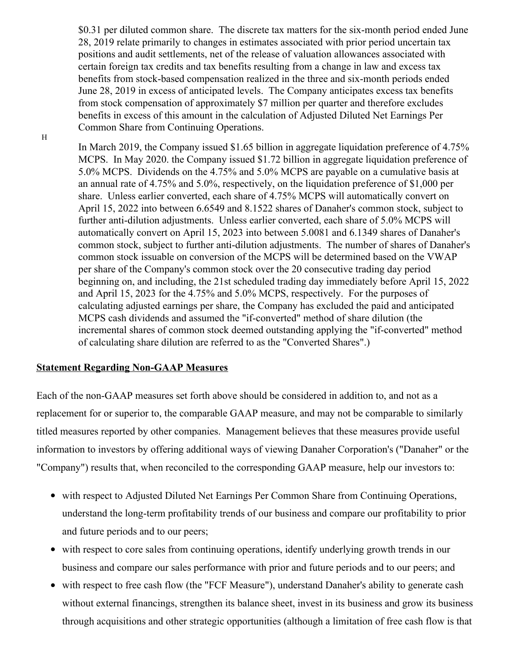\$0.31 per diluted common share. The discrete tax matters for the six-month period ended June 28, 2019 relate primarily to changes in estimates associated with prior period uncertain tax positions and audit settlements, net of the release of valuation allowances associated with certain foreign tax credits and tax benefits resulting from a change in law and excess tax benefits from stock-based compensation realized in the three and six-month periods ended June 28, 2019 in excess of anticipated levels. The Company anticipates excess tax benefits from stock compensation of approximately \$7 million per quarter and therefore excludes benefits in excess of this amount in the calculation of Adjusted Diluted Net Earnings Per Common Share from Continuing Operations.

In March 2019, the Company issued \$1.65 billion in aggregate liquidation preference of 4.75% MCPS. In May 2020. the Company issued \$1.72 billion in aggregate liquidation preference of 5.0% MCPS. Dividends on the 4.75% and 5.0% MCPS are payable on a cumulative basis at an annual rate of 4.75% and 5.0%, respectively, on the liquidation preference of \$1,000 per share. Unless earlier converted, each share of 4.75% MCPS will automatically convert on April 15, 2022 into between 6.6549 and 8.1522 shares of Danaher's common stock, subject to further anti-dilution adjustments. Unless earlier converted, each share of 5.0% MCPS will automatically convert on April 15, 2023 into between 5.0081 and 6.1349 shares of Danaher's common stock, subject to further anti-dilution adjustments. The number of shares of Danaher's common stock issuable on conversion of the MCPS will be determined based on the VWAP per share of the Company's common stock over the 20 consecutive trading day period beginning on, and including, the 21st scheduled trading day immediately before April 15, 2022 and April 15, 2023 for the 4.75% and 5.0% MCPS, respectively. For the purposes of calculating adjusted earnings per share, the Company has excluded the paid and anticipated MCPS cash dividends and assumed the "if-converted" method of share dilution (the incremental shares of common stock deemed outstanding applying the "if-converted" method of calculating share dilution are referred to as the "Converted Shares".)

#### **Statement Regarding Non-GAAP Measures**

Each of the non-GAAP measures set forth above should be considered in addition to, and not as a replacement for or superior to, the comparable GAAP measure, and may not be comparable to similarly titled measures reported by other companies. Management believes that these measures provide useful information to investors by offering additional ways of viewing Danaher Corporation's ("Danaher" or the "Company") results that, when reconciled to the corresponding GAAP measure, help our investors to:

- with respect to Adjusted Diluted Net Earnings Per Common Share from Continuing Operations, understand the long-term profitability trends of our business and compare our profitability to prior and future periods and to our peers;
- with respect to core sales from continuing operations, identify underlying growth trends in our business and compare our sales performance with prior and future periods and to our peers; and
- with respect to free cash flow (the "FCF Measure"), understand Danaher's ability to generate cash without external financings, strengthen its balance sheet, invest in its business and grow its business through acquisitions and other strategic opportunities (although a limitation of free cash flow is that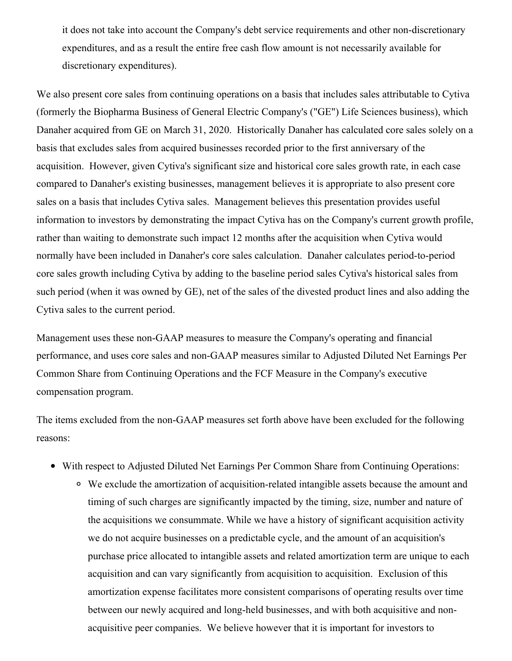it does not take into account the Company's debt service requirements and other non-discretionary expenditures, and as a result the entire free cash flow amount is not necessarily available for discretionary expenditures).

We also present core sales from continuing operations on a basis that includes sales attributable to Cytiva (formerly the Biopharma Business of General Electric Company's ("GE") Life Sciences business), which Danaher acquired from GE on March 31, 2020. Historically Danaher has calculated core sales solely on a basis that excludes sales from acquired businesses recorded prior to the first anniversary of the acquisition. However, given Cytiva's significant size and historical core sales growth rate, in each case compared to Danaher's existing businesses, management believes it is appropriate to also present core sales on a basis that includes Cytiva sales. Management believes this presentation provides useful information to investors by demonstrating the impact Cytiva has on the Company's current growth profile, rather than waiting to demonstrate such impact 12 months after the acquisition when Cytiva would normally have been included in Danaher's core sales calculation. Danaher calculates period-to-period core sales growth including Cytiva by adding to the baseline period sales Cytiva's historical sales from such period (when it was owned by GE), net of the sales of the divested product lines and also adding the Cytiva sales to the current period.

Management uses these non-GAAP measures to measure the Company's operating and financial performance, and uses core sales and non-GAAP measures similar to Adjusted Diluted Net Earnings Per Common Share from Continuing Operations and the FCF Measure in the Company's executive compensation program.

The items excluded from the non-GAAP measures set forth above have been excluded for the following reasons:

- With respect to Adjusted Diluted Net Earnings Per Common Share from Continuing Operations:
	- We exclude the amortization of acquisition-related intangible assets because the amount and timing of such charges are significantly impacted by the timing, size, number and nature of the acquisitions we consummate. While we have a history of significant acquisition activity we do not acquire businesses on a predictable cycle, and the amount of an acquisition's purchase price allocated to intangible assets and related amortization term are unique to each acquisition and can vary significantly from acquisition to acquisition. Exclusion of this amortization expense facilitates more consistent comparisons of operating results over time between our newly acquired and long-held businesses, and with both acquisitive and nonacquisitive peer companies. We believe however that it is important for investors to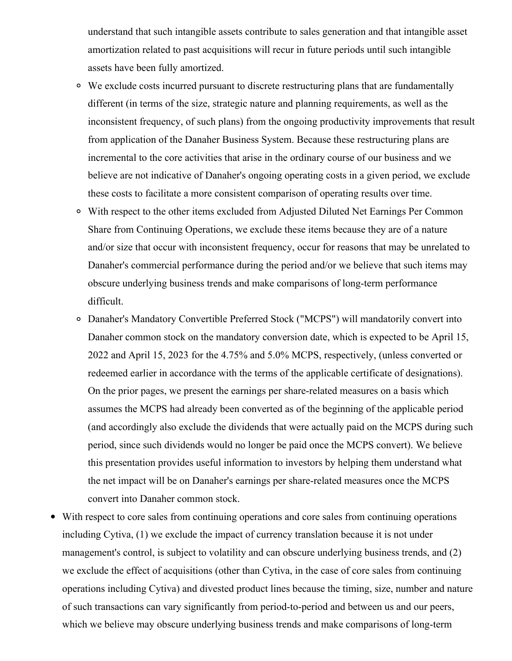understand that such intangible assets contribute to sales generation and that intangible asset amortization related to past acquisitions will recur in future periods until such intangible assets have been fully amortized.

- We exclude costs incurred pursuant to discrete restructuring plans that are fundamentally different (in terms of the size, strategic nature and planning requirements, as well as the inconsistent frequency, of such plans) from the ongoing productivity improvements that result from application of the Danaher Business System. Because these restructuring plans are incremental to the core activities that arise in the ordinary course of our business and we believe are not indicative of Danaher's ongoing operating costs in a given period, we exclude these costs to facilitate a more consistent comparison of operating results over time.
- With respect to the other items excluded from Adjusted Diluted Net Earnings Per Common Share from Continuing Operations, we exclude these items because they are of a nature and/or size that occur with inconsistent frequency, occur for reasons that may be unrelated to Danaher's commercial performance during the period and/or we believe that such items may obscure underlying business trends and make comparisons of long-term performance difficult.
- Danaher's Mandatory Convertible Preferred Stock ("MCPS") will mandatorily convert into Danaher common stock on the mandatory conversion date, which is expected to be April 15, 2022 and April 15, 2023 for the 4.75% and 5.0% MCPS, respectively, (unless converted or redeemed earlier in accordance with the terms of the applicable certificate of designations). On the prior pages, we present the earnings per share-related measures on a basis which assumes the MCPS had already been converted as of the beginning of the applicable period (and accordingly also exclude the dividends that were actually paid on the MCPS during such period, since such dividends would no longer be paid once the MCPS convert). We believe this presentation provides useful information to investors by helping them understand what the net impact will be on Danaher's earnings per share-related measures once the MCPS convert into Danaher common stock.
- With respect to core sales from continuing operations and core sales from continuing operations including Cytiva, (1) we exclude the impact of currency translation because it is not under management's control, is subject to volatility and can obscure underlying business trends, and (2) we exclude the effect of acquisitions (other than Cytiva, in the case of core sales from continuing operations including Cytiva) and divested product lines because the timing, size, number and nature of such transactions can vary significantly from period-to-period and between us and our peers, which we believe may obscure underlying business trends and make comparisons of long-term